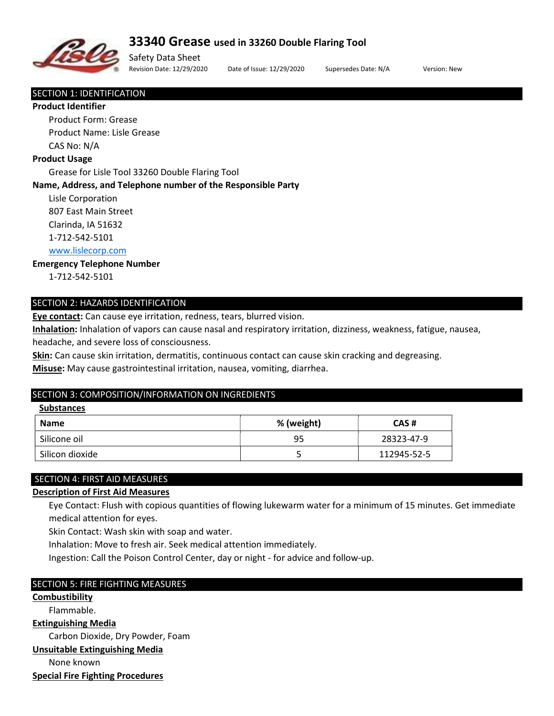

# 33340 Grease used in 33260 Double Flaring Tool

Safety Data Sheet Revision Date: 12/29/2020 Date of Issue: 12/29/2020 Supersedes Date: N/A Version: New

#### SECTION 1: IDENTIFICATION

#### Product Identifier

 Product Form: Grease Product Name: Lisle Grease CAS No: N/A

#### Product Usage

Grease for Lisle Tool 33260 Double Flaring Tool

#### Name, Address, and Telephone number of the Responsible Party

 Lisle Corporation 807 East Main Street

Clarinda, IA 51632

1-712-542-5101

# www.lislecorp.com

# Emergency Telephone Number

1-712-542-5101

#### SECTION 2: HAZARDS IDENTIFICATION

Eye contact: Can cause eye irritation, redness, tears, blurred vision.

Inhalation: Inhalation of vapors can cause nasal and respiratory irritation, dizziness, weakness, fatigue, nausea,

headache, and severe loss of consciousness.

Skin: Can cause skin irritation, dermatitis, continuous contact can cause skin cracking and degreasing.

Misuse: May cause gastrointestinal irritation, nausea, vomiting, diarrhea.

#### SECTION 3: COMPOSITION/INFORMATION ON INGREDIENTS

#### **Substances**

| <b>Name</b>     | % (weight) | CAS#        |
|-----------------|------------|-------------|
| Silicone oil    | 95         | 28323-47-9  |
| Silicon dioxide |            | 112945-52-5 |

# SECTION 4: FIRST AID MEASURES

# Description of First Aid Measures

 Eye Contact: Flush with copious quantities of flowing lukewarm water for a minimum of 15 minutes. Get immediate medical attention for eyes.

Skin Contact: Wash skin with soap and water.

Inhalation: Move to fresh air. Seek medical attention immediately.

Ingestion: Call the Poison Control Center, day or night - for advice and follow-up.

# SECTION 5: FIRE FIGHTING MEASURES

**Combustibility** 

Flammable.

Extinguishing Media

Carbon Dioxide, Dry Powder, Foam

#### Unsuitable Extinguishing Media

None known

Special Fire Fighting Procedures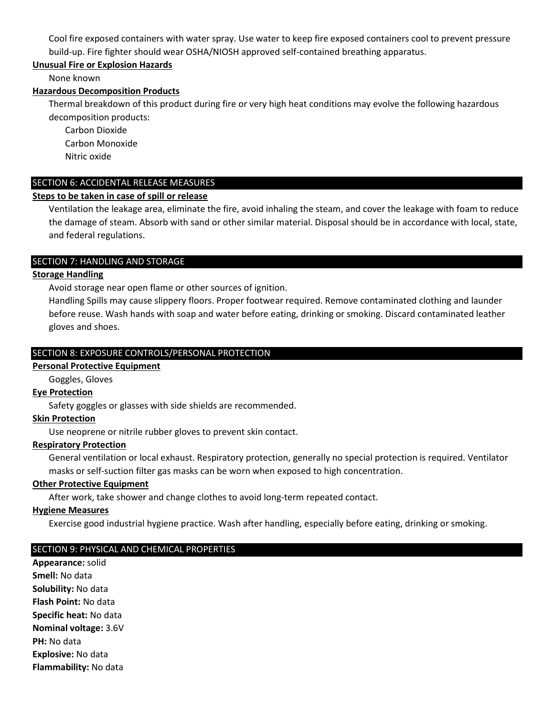Cool fire exposed containers with water spray. Use water to keep fire exposed containers cool to prevent pressure build-up. Fire fighter should wear OSHA/NIOSH approved self-contained breathing apparatus.

# Unusual Fire or Explosion Hazards

None known

## Hazardous Decomposition Products

 Thermal breakdown of this product during fire or very high heat conditions may evolve the following hazardous decomposition products:

Carbon Dioxide

Carbon Monoxide

Nitric oxide

# SECTION 6: ACCIDENTAL RELEASE MEASURES

# Steps to be taken in case of spill or release

 Ventilation the leakage area, eliminate the fire, avoid inhaling the steam, and cover the leakage with foam to reduce the damage of steam. Absorb with sand or other similar material. Disposal should be in accordance with local, state, and federal regulations.

## SECTION 7: HANDLING AND STORAGE

## Storage Handling

Avoid storage near open flame or other sources of ignition.

 Handling Spills may cause slippery floors. Proper footwear required. Remove contaminated clothing and launder before reuse. Wash hands with soap and water before eating, drinking or smoking. Discard contaminated leather gloves and shoes.

# SECTION 8: EXPOSURE CONTROLS/PERSONAL PROTECTION

#### Personal Protective Equipment

Goggles, Gloves

# Eye Protection

Safety goggles or glasses with side shields are recommended.

#### Skin Protection

Use neoprene or nitrile rubber gloves to prevent skin contact.

# Respiratory Protection

 General ventilation or local exhaust. Respiratory protection, generally no special protection is required. Ventilator masks or self-suction filter gas masks can be worn when exposed to high concentration.

#### Other Protective Equipment

After work, take shower and change clothes to avoid long-term repeated contact.

#### Hygiene Measures

Exercise good industrial hygiene practice. Wash after handling, especially before eating, drinking or smoking.

# SECTION 9: PHYSICAL AND CHEMICAL PROPERTIES

Appearance: solid Smell: No data Solubility: No data Flash Point: No data Specific heat: No data Nominal voltage: 3.6V PH: No data Explosive: No data Flammability: No data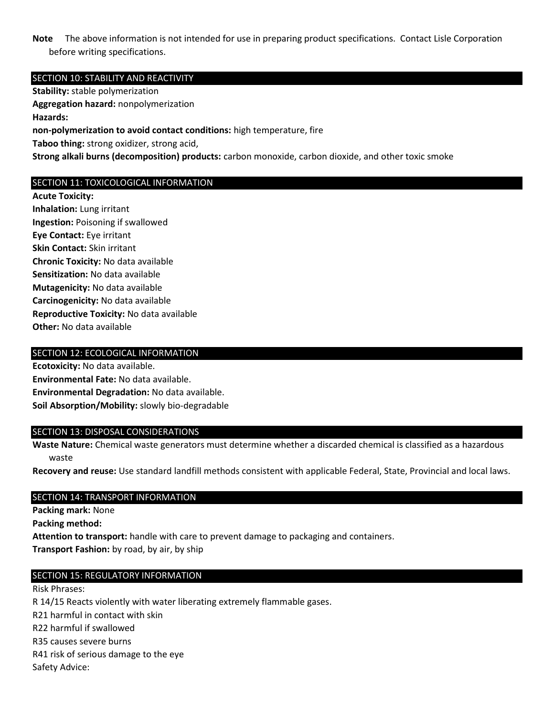Note The above information is not intended for use in preparing product specifications. Contact Lisle Corporation before writing specifications.

## SECTION 10: STABILITY AND REACTIVITY

Stability: stable polymerization Aggregation hazard: nonpolymerization Hazards: non-polymerization to avoid contact conditions: high temperature, fire Taboo thing: strong oxidizer, strong acid, Strong alkali burns (decomposition) products: carbon monoxide, carbon dioxide, and other toxic smoke

# SECTION 11: TOXICOLOGICAL INFORMATION

Acute Toxicity: Inhalation: Lung irritant Ingestion: Poisoning if swallowed Eye Contact: Eye irritant Skin Contact: Skin irritant Chronic Toxicity: No data available Sensitization: No data available Mutagenicity: No data available Carcinogenicity: No data available Reproductive Toxicity: No data available Other: No data available

## SECTION 12: ECOLOGICAL INFORMATION

Ecotoxicity: No data available. Environmental Fate: No data available. Environmental Degradation: No data available. Soil Absorption/Mobility: slowly bio-degradable

#### SECTION 13: DISPOSAL CONSIDERATIONS

Waste Nature: Chemical waste generators must determine whether a discarded chemical is classified as a hazardous waste

Recovery and reuse: Use standard landfill methods consistent with applicable Federal, State, Provincial and local laws.

#### SECTION 14: TRANSPORT INFORMATION

Packing mark: None

Packing method:

Attention to transport: handle with care to prevent damage to packaging and containers. Transport Fashion: by road, by air, by ship

#### SECTION 15: REGULATORY INFORMATION

Risk Phrases:

R 14/15 Reacts violently with water liberating extremely flammable gases.

R21 harmful in contact with skin

R22 harmful if swallowed

R35 causes severe burns

R41 risk of serious damage to the eye

Safety Advice: